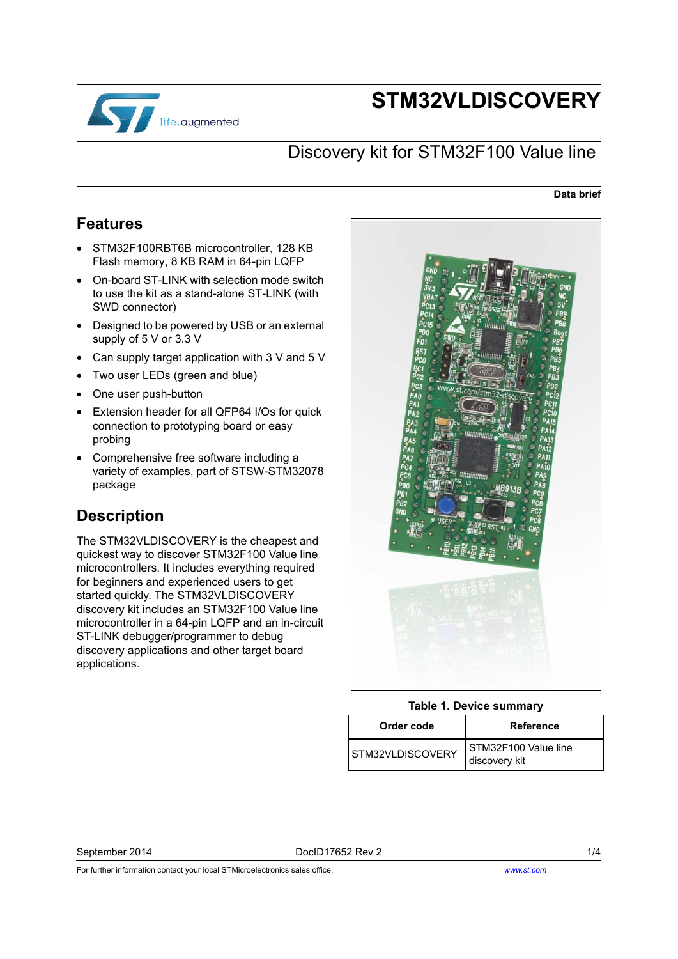

# **STM32VLDISCOVERY**

## Discovery kit for STM32F100 Value line

#### **Data brief**

## <span id="page-0-0"></span>**Features**

- STM32F100RBT6B microcontroller, 128 KB Flash memory, 8 KB RAM in 64-pin LQFP
- On-board ST-LINK with selection mode switch to use the kit as a stand-alone ST-LINK (with SWD connector)
- Designed to be powered by USB or an external supply of 5 V or 3.3 V
- Can supply target application with 3 V and 5 V
- Two user LEDs (green and blue)
- One user push-button
- Extension header for all QFP64 I/Os for quick connection to prototyping board or easy probing
- Comprehensive free software including a variety of examples, part of STSW-STM32078 package

## <span id="page-0-1"></span>**Description**

The STM32VLDISCOVERY is the cheapest and quickest way to discover STM32F100 Value line microcontrollers. It includes everything required for beginners and experienced users to get started quickly. The STM32VLDISCOVERY discovery kit includes an STM32F100 Value line microcontroller in a 64-pin LQFP and an in-circuit ST-LINK debugger/programmer to debug discovery applications and other target board applications.



### **Table 1. Device summary**

| Order code       | <b>Reference</b>                      |
|------------------|---------------------------------------|
| STM32VLDISCOVERY | STM32F100 Value line<br>discovery kit |

September 2014 DocID17652 Rev 2 1/4

For further information contact your local STMicroelectronics sales office.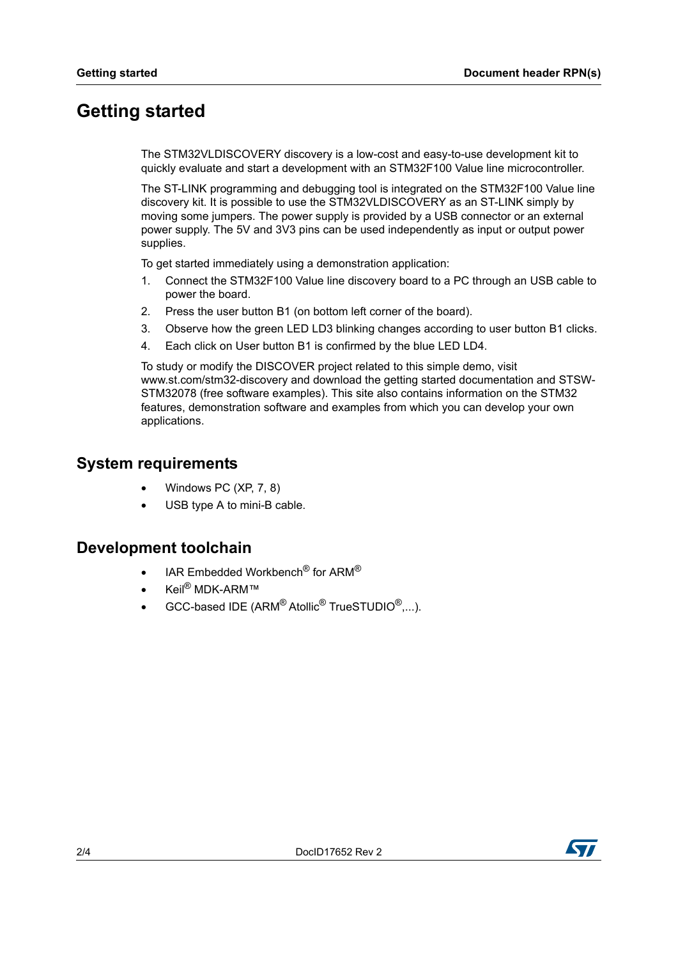## <span id="page-1-0"></span>**Getting started**

The STM32VLDISCOVERY discovery is a low-cost and easy-to-use development kit to quickly evaluate and start a development with an STM32F100 Value line microcontroller.

The ST-LINK programming and debugging tool is integrated on the STM32F100 Value line discovery kit. It is possible to use the STM32VLDISCOVERY as an ST-LINK simply by moving some jumpers. The power supply is provided by a USB connector or an external power supply. The 5V and 3V3 pins can be used independently as input or output power supplies.

To get started immediately using a demonstration application:

- 1. Connect the STM32F100 Value line discovery board to a PC through an USB cable to power the board.
- 2. Press the user button B1 (on bottom left corner of the board).
- 3. Observe how the green LED LD3 blinking changes according to user button B1 clicks.
- 4. Each click on User button B1 is confirmed by the blue LED LD4.

To study or modify the DISCOVER project related to this simple demo, visit www.st.com/stm32-discovery and download the getting started documentation and STSW-STM32078 (free software examples). This site also contains information on the STM32 features, demonstration software and examples from which you can develop your own applications.

### <span id="page-1-1"></span>**System requirements**

- Windows PC (XP, 7, 8)
- USB type A to mini-B cable.

### <span id="page-1-2"></span>**Development toolchain**

- IAR Embedded Workbench<sup>®</sup> for ARM<sup>®</sup>
- Keil® MDK-ARM™
- GCC-based IDE (ARM® Atollic® TrueSTUDIO®,...).

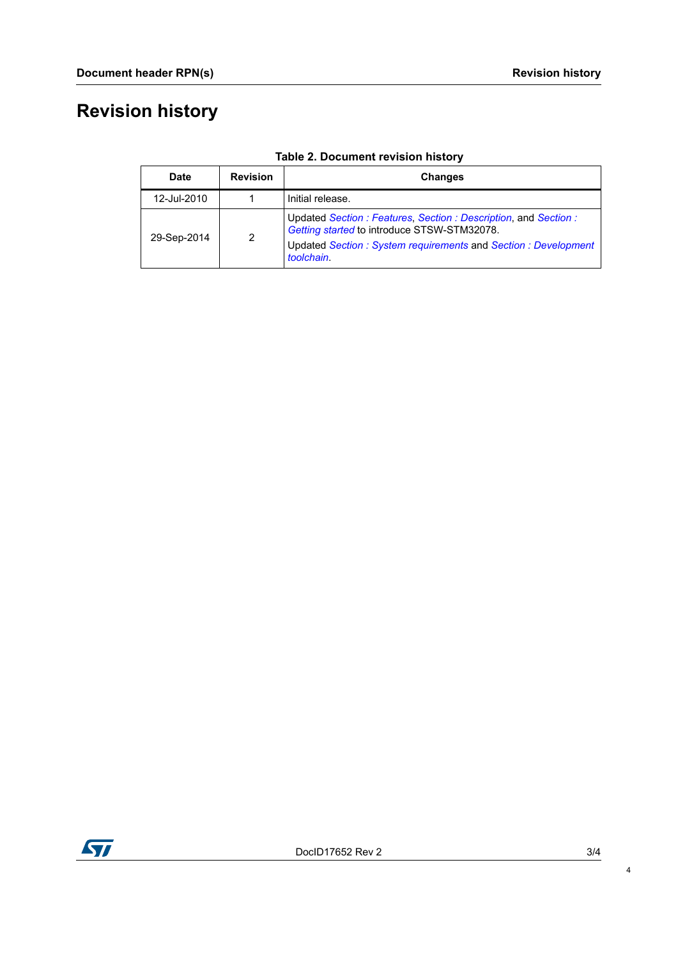# **Revision history**

| Date        | <b>Revision</b> | Changes                                                                                                                                                                                     |
|-------------|-----------------|---------------------------------------------------------------------------------------------------------------------------------------------------------------------------------------------|
| 12-Jul-2010 |                 | Initial release.                                                                                                                                                                            |
| 29-Sep-2014 | $\overline{2}$  | Updated Section: Features, Section: Description, and Section:<br>Getting started to introduce STSW-STM32078.<br>Updated Section: System requirements and Section: Development<br>toolchain. |

**Table 2. Document revision history**



4